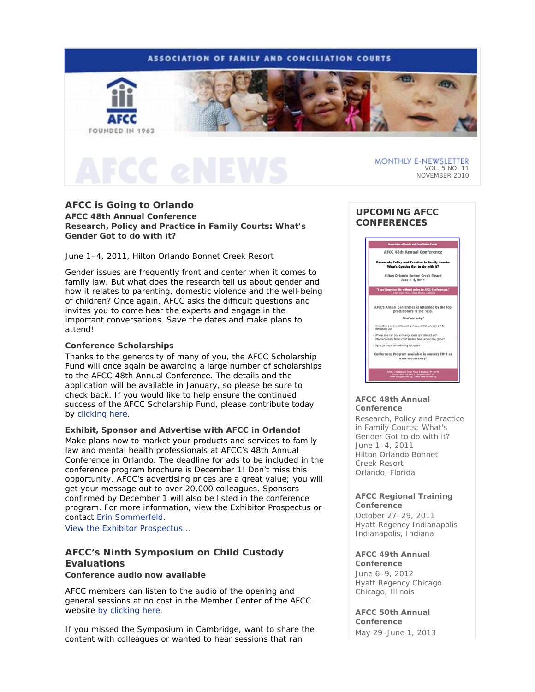

## **AFCC is Going to Orlando**

**AFCC 48th Annual Conference**  *Research, Policy and Practice in Family Courts: What's Gender Got to do with it?* 

June 1–4, 2011, Hilton Orlando Bonnet Creek Resort

Gender issues are frequently front and center when it comes to family law. But what does the research tell us about gender and how it relates to parenting, domestic violence and the well-being of children? Once again, AFCC asks the difficult questions and invites you to come hear the experts and engage in the important conversations. Save the dates and make plans to attend!

### **Conference Scholarships**

Thanks to the generosity of many of you, the AFCC Scholarship Fund will once again be awarding a large number of scholarships to the AFCC 48th Annual Conference. The details and the application will be available in January, so please be sure to check back. If you would like to help ensure the continued success of the AFCC Scholarship Fund, please contribute today by clicking here.

**Exhibit, Sponsor and Advertise with AFCC in Orlando!** 

Make plans now to market your products and services to family law and mental health professionals at AFCC's 48th Annual Conference in Orlando. The deadline for ads to be included in the conference program brochure is December 1! Don't miss this opportunity. AFCC's advertising prices are a great value; you will get your message out to over 20,000 colleagues. Sponsors confirmed by December 1 will also be listed in the conference program. For more information, view the Exhibitor Prospectus or contact Erin Sommerfeld.

View the Exhibitor Prospectus...

# **AFCC's Ninth Symposium on Child Custody Evaluations**

**Conference audio now available**

AFCC members can listen to the audio of the opening and general sessions at no cost in the Member Center of the AFCC website by clicking here.

If you missed the Symposium in Cambridge, want to share the content with colleagues or wanted to hear sessions that ran

# **UPCOMING AFCC CONFERENCES**



#### **AFCC 48th Annual Conference**

*Research, Policy and Practice in Family Courts: What's Gender Got to do with it?*  June 1–4, 2011 Hilton Orlando Bonnet Creek Resort Orlando, Florida

#### **AFCC Regional Training Conference**

October 27–29, 2011 Hyatt Regency Indianapolis Indianapolis, Indiana

### **AFCC 49th Annual**

**Conference** June 6–9, 2012 Hyatt Regency Chicago Chicago, Illinois

**AFCC 50th Annual Conference**

May 29–June 1, 2013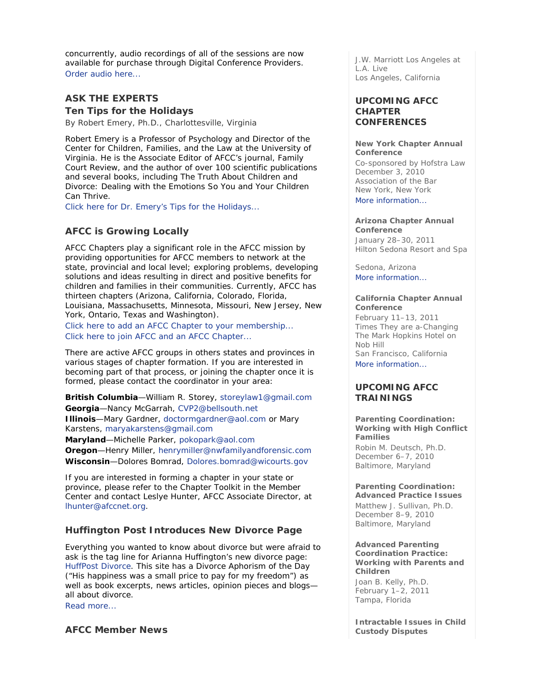concurrently, audio recordings of all of the sessions are now available for purchase through Digital Conference Providers. Order audio here...

# **ASK THE EXPERTS**

**Ten Tips for the Holidays** 

*By Robert Emery, Ph.D., Charlottesville, Virginia* 

Robert Emery is a Professor of Psychology and Director of the Center for Children, Families, and the Law at the University of Virginia. He is the Associate Editor of AFCC's journal, *Family Court Review*, and the author of over 100 scientific publications and several books, including *The Truth About Children and Divorce: Dealing with the Emotions So You and Your Children Can Thrive*.

Click here for Dr. Emery's Tips for the Holidays...

# **AFCC is Growing Locally**

AFCC Chapters play a significant role in the AFCC mission by providing opportunities for AFCC members to network at the state, provincial and local level; exploring problems, developing solutions and ideas resulting in direct and positive benefits for children and families in their communities. Currently, AFCC has thirteen chapters (Arizona, California, Colorado, Florida, Louisiana, Massachusetts, Minnesota, Missouri, New Jersey, New York, Ontario, Texas and Washington).

Click here to add an AFCC Chapter to your membership... Click here to join AFCC and an AFCC Chapter...

There are active AFCC groups in others states and provinces in various stages of chapter formation. If you are interested in becoming part of that process, or joining the chapter once it is formed, please contact the coordinator in your area:

**British Columbia**—William R. Storey, storeylaw1@gmail.com **Georgia**—Nancy McGarrah, CVP2@bellsouth.net **Illinois**—Mary Gardner, doctormgardner@aol.com or Mary Karstens, maryakarstens@gmail.com **Maryland**—Michelle Parker, pokopark@aol.com

**Oregon**—Henry Miller, henrymiller@nwfamilyandforensic.com **Wisconsin**—Dolores Bomrad, Dolores.bomrad@wicourts.gov

If you are interested in forming a chapter in your state or province, please refer to the Chapter Toolkit in the Member Center and contact Leslye Hunter, AFCC Associate Director, at lhunter@afccnet.org.

# **Huffington Post Introduces New Divorce Page**

*Everything you wanted to know about divorce but were afraid to ask* is the tag line for Arianna Huffington's new divorce page: HuffPost Divorce. This site has a Divorce Aphorism of the Day ("His happiness was a small price to pay for my freedom") as well as book excerpts, news articles, opinion pieces and blogs all about divorce.

Read more...

### **AFCC Member News**

J.W. Marriott Los Angeles at L.A. Live Los Angeles, California

### **UPCOMING AFCC CHAPTER CONFERENCES**

#### **New York Chapter Annual Conference**

Co-sponsored by Hofstra Law December 3, 2010 Association of the Bar New York, New York

More information...

#### **Arizona Chapter Annual Conference**

January 28–30, 2011 Hilton Sedona Resort and Spa

Sedona, Arizona More information...

#### **California Chapter Annual Conference**

February 11–13, 2011 *Times They are a-Changing*  The Mark Hopkins Hotel on Nob Hill San Francisco, California More information...

### **UPCOMING AFCC TRAININGS**

**Parenting Coordination: Working with High Conflict Families**  *Robin M. Deutsch, Ph.D.* December 6–7, 2010 Baltimore, Maryland

#### **Parenting Coordination: Advanced Practice Issues**  *Matthew J. Sullivan, Ph.D.*

December 8–9, 2010 Baltimore, Maryland

#### **Advanced Parenting Coordination Practice: Working with Parents and Children**

*Joan B. Kelly, Ph.D.* February 1–2, 2011 Tampa, Florida

**Intractable Issues in Child Custody Disputes**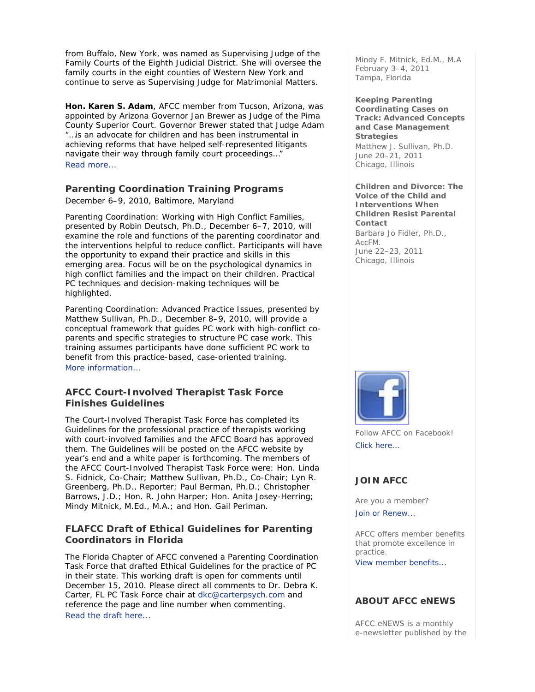from Buffalo, New York, was named as Supervising Judge of the Family Courts of the Eighth Judicial District. She will oversee the family courts in the eight counties of Western New York and continue to serve as Supervising Judge for Matrimonial Matters.

**Hon. Karen S. Adam**, AFCC member from Tucson, Arizona, was appointed by Arizona Governor Jan Brewer as Judge of the Pima County Superior Court. Governor Brewer stated that Judge Adam "…is an advocate for children and has been instrumental in achieving reforms that have helped self-represented litigants navigate their way through family court proceedings…" Read more...

# **Parenting Coordination Training Programs**

December 6–9, 2010, Baltimore, Maryland

*Parenting Coordination: Working with High Conflict Families*, presented by Robin Deutsch, Ph.D., December 6–7, 2010, will examine the role and functions of the parenting coordinator and the interventions helpful to reduce conflict. Participants will have the opportunity to expand their practice and skills in this emerging area. Focus will be on the psychological dynamics in high conflict families and the impact on their children. Practical PC techniques and decision-making techniques will be highlighted.

*Parenting Coordination: Advanced Practice Issues*, presented by Matthew Sullivan, Ph.D., December 8–9, 2010, will provide a conceptual framework that guides PC work with high-conflict coparents and specific strategies to structure PC case work. This training assumes participants have done sufficient PC work to benefit from this practice-based, case-oriented training. More information...

### **AFCC Court-Involved Therapist Task Force Finishes Guidelines**

The Court-Involved Therapist Task Force has completed its Guidelines for the professional practice of therapists working with court-involved families and the AFCC Board has approved them. The Guidelines will be posted on the AFCC website by year's end and a white paper is forthcoming. The members of the AFCC Court-Involved Therapist Task Force were: Hon. Linda S. Fidnick, Co-Chair; Matthew Sullivan, Ph.D., Co-Chair; Lyn R. Greenberg, Ph.D., Reporter; Paul Berman, Ph.D.; Christopher Barrows, J.D.; Hon. R. John Harper; Hon. Anita Josey-Herring; Mindy Mitnick, M.Ed., M.A.; and Hon. Gail Perlman.

# **FLAFCC Draft of Ethical Guidelines for Parenting Coordinators in Florida**

The Florida Chapter of AFCC convened a Parenting Coordination Task Force that drafted Ethical Guidelines for the practice of PC in their state. This working draft is open for comments until December 15, 2010. Please direct all comments to Dr. Debra K. Carter, FL PC Task Force chair at dkc@carterpsych.com and reference the page and line number when commenting. Read the draft here...

*Mindy F. Mitnick, Ed.M., M.A* February 3–4, 2011 Tampa, Florida

**Keeping Parenting Coordinating Cases on Track: Advanced Concepts and Case Management Strategies**  *Matthew J. Sullivan, Ph.D.* June 20–21, 2011 Chicago, Illinois

**Children and Divorce: The Voice of the Child and Interventions When Children Resist Parental Contact**  *Barbara Jo Fidler, Ph.D., AccFM.* June 22–23, 2011 Chicago, Illinois



Follow AFCC on Facebook! Click here...

# **JOIN AFCC**

Are you a member?

Join or Renew...

AFCC offers member benefits that promote excellence in practice. View member benefits...

# **ABOUT AFCC eNEWS**

*AFCC eNEWS* is a monthly e-newsletter published by the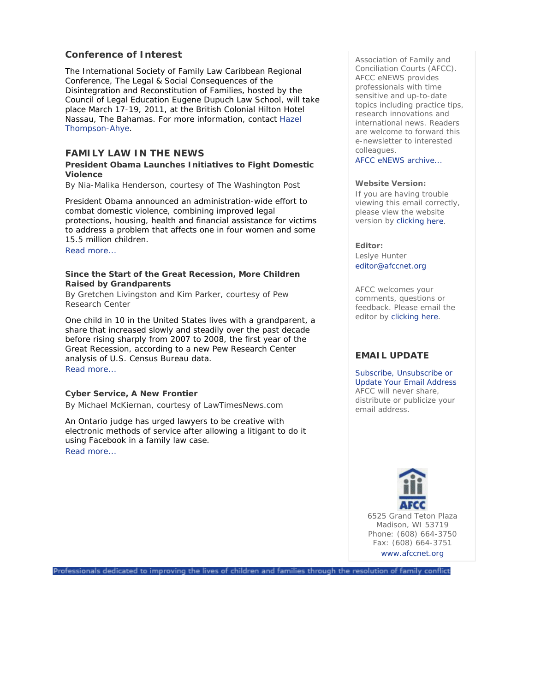# **Conference of Interest**

The International Society of Family Law Caribbean Regional Conference, *The Legal & Social Consequences of the Disintegration and Reconstitution of Families,* hosted by the Council of Legal Education Eugene Dupuch Law School, will take place March 17-19, 2011, at the British Colonial Hilton Hotel Nassau, The Bahamas. For more information, contact Hazel Thompson-Ahye.

### **FAMILY LAW IN THE NEWS**

#### **President Obama Launches Initiatives to Fight Domestic Violence**

*By Nia-Malika Henderson, courtesy of The Washington Post* 

President Obama announced an administration-wide effort to combat domestic violence, combining improved legal protections, housing, health and financial assistance for victims to address a problem that affects one in four women and some 15.5 million children.

Read more...

#### **Since the Start of the Great Recession, More Children Raised by Grandparents**

*By Gretchen Livingston and Kim Parker, courtesy of Pew Research Center* 

One child in 10 in the United States lives with a grandparent, a share that increased slowly and steadily over the past decade before rising sharply from 2007 to 2008, the first year of the Great Recession, according to a new Pew Research Center analysis of U.S. Census Bureau data. Read more...

#### **Cyber Service, A New Frontier**

*By Michael McKiernan, courtesy of LawTimesNews.com* 

An Ontario judge has urged lawyers to be creative with electronic methods of service after allowing a litigant to do it using Facebook in a family law case. Read more...

Association of Family and Conciliation Courts (AFCC). *AFCC eNEWS* provides professionals with time sensitive and up-to-date topics including practice tips, research innovations and international news. Readers are welcome to forward this e-newsletter to interested colleagues.

AFCC eNEWS archive...

#### **Website Version:**

If you are having trouble viewing this email correctly, please view the website version by clicking here.

#### **Editor:**

Leslye Hunter editor@afccnet.org

AFCC welcomes your comments, questions or feedback. Please email the editor by clicking here.

# **EMAIL UPDATE**

Subscribe, Unsubscribe or Update Your Email Address AFCC will never share, distribute or publicize your email address.



6525 Grand Teton Plaza Madison, WI 53719 Phone: (608) 664-3750 Fax: (608) 664-3751 www.afccnet.org